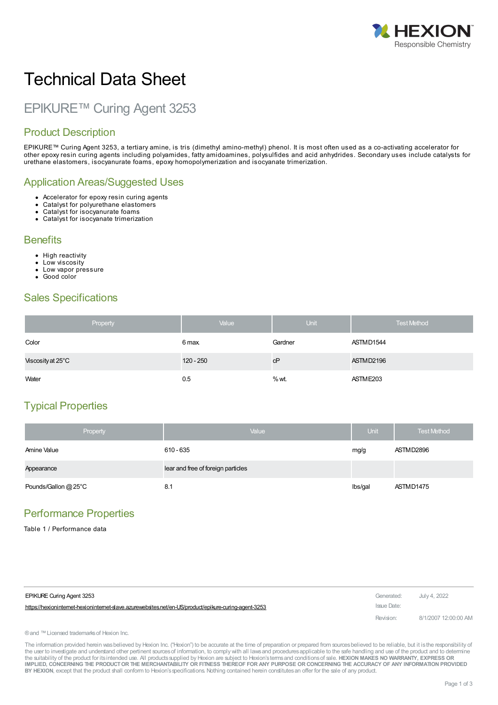

# Technical Data Sheet

## EPIKURE™ Curing Agent 3253

### Product Description

EPIKURE™ Curing Agent 3253, a tertiary amine, is tris (dimethyl amino-methyl) phenol. It is most often used as a co-activating accelerator for other epoxy resin curing agents including polyamides, fatty amidoamines, polysulfides and acid anhydrides. Secondary uses include catalysts for urethane elastomers, isocyanurate foams, epoxy homopolymerization and isocyanate trimerization.

#### Application Areas/Suggested Uses

- Accelerator for epoxy resin curing agents
- Catalyst for polyurethane elastomers
- Catalyst for isocyanurate foams
- Catalyst for isocyanate trimerization

#### **Benefits**

- High reactivity
- Low viscosity
- $\bullet$ Low vapor pressure
- Good color

#### Sales Specifications

| Property          | Value       | <b>Unit</b> | <b>Test Method</b> |
|-------------------|-------------|-------------|--------------------|
| Color             | 6 max.      | Gardner     | ASTMD1544          |
| Viscosity at 25°C | $120 - 250$ | сP          | ASTMD2196          |
| Water             | 0.5         | $%$ wt.     | ASTME203           |

## Typical Properties

| Property             | Value                              | Unit    | <b>Test Method</b> |
|----------------------|------------------------------------|---------|--------------------|
| Amine Value          | 610 - 635                          | mg/g    | ASTMD2896          |
| Appearance           | lear and free of foreign particles |         |                    |
| Pounds/Gallon @ 25°C | 8.1                                | lbs/gal | ASTMD1475          |

#### Performance Properties

Table 1 / Performance data

| EPIKURE Curing Agent 3253                                                                             | Generated:  | July 4, 2022         |
|-------------------------------------------------------------------------------------------------------|-------------|----------------------|
| https://hexioninternet-hexioninternet-slave.azurewebsites.net/en-US/product/epikure-curing-agent-3253 | Issue Date: |                      |
|                                                                                                       | Revision:   | 8/1/2007 12:00:00 AM |

®and ™Licensed trademarksof Hexion Inc.

The information provided herein was believed by Hexion Inc. ("Hexion") to be accurate at the time of preparation or prepared from sources believed to be reliable, but it is the responsibility of the user to investigate and understand other pertinent sources of information, to comply with all laws and procedures applicable to the safe handling and use of the product and to determine the suitability of the product for itsintended use. All productssupplied by Hexion are subject to Hexion'stermsand conditionsof sale. **HEXION MAKES NO WARRANTY, EXPRESS OR** IMPLIED, CONCERNING THE PRODUCT OR THE MERCHANTABILITY OR FITNESS THEREOF FOR ANY PURPOSE OR CONCERNING THE ACCURACY OF ANY INFORMATION PROVIDED **BY HEXION**, except that the product shall conform to Hexion'sspecifications. Nothing contained herein constitutesan offer for the sale of any product.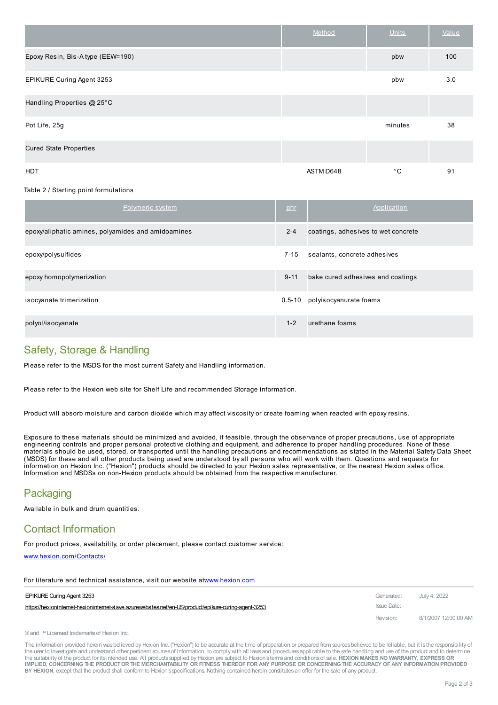|                                   | Method    | <b>Units</b> | Value |
|-----------------------------------|-----------|--------------|-------|
| Epoxy Resin, Bis-A type (EEW=190) |           | pbw          | 100   |
| EPIKURE Curing Agent 3253         |           | pbw          | 3.0   |
| Handling Properties @ 25°C        |           |              |       |
| Pot Life, 25g                     |           | minutes      | 38    |
| <b>Cured State Properties</b>     |           |              |       |
| <b>HDT</b>                        | ASTM D648 | $^{\circ}$ C | 91    |

#### Table 2 / Starting point formulations

| Polymeric system                                   | phr        | Application                         |
|----------------------------------------------------|------------|-------------------------------------|
| epoxy/aliphatic amines, polyamides and amidoamines | $2 - 4$    | coatings, adhesives to wet concrete |
| epoxy/polysulfides                                 | $7 - 15$   | sealants, concrete adhesives        |
| epoxy homopolymerization                           | $9 - 11$   | bake cured adhesives and coatings   |
| isocyanate trimerization                           | $0.5 - 10$ | polyisocyanurate foams              |
| polyol/isocyanate                                  | $1 - 2$    | urethane foams                      |

#### Safety, Storage & Handling

Please refer to the MSDS for the most current Safety and Handling information.

Please refer to the Hexion web site for Shelf Life and recommended Storage information.

Product will absorb moisture and carbon dioxide which may affect viscosity or create foaming when reacted with epoxy resins.

Exposure to these materials should be minimized and avoided, if feasible, through the observance of proper precautions, use of appropriate engineering controls and proper personal protective clothing and equipment, and adherence to proper handling procedures. None of these materials should be used, stored, or transported until the handling precautions and recommendations as stated in the Material Safety Data Sheet (MSDS) for these and all other products being used are understood by all persons who will work with them. Questions and requests for information on Hexion Inc. ("Hexion") products should be directed to your Hexion sales representative, or the nearest Hexion sales office. Information and MSDSs on non-Hexion products should be obtained from the respective manufacturer.

#### **Packaging**

Available in bulk and drum quantities.

#### Contact Information

For product prices, availability, or order placement, please contact customer service:

For literature and technical assistance, visit our website [at](https://hexioninternet-hexioninternet-slave.azurewebsites.net/en-US/product/epikure-curing-agent-3253)[:www.hexion.com](http://www.hexion.com/)

[www.hexion.com/Contacts/](http://www.hexion.com/Contacts/)

| <u>TUL INCREDIO CHIN ICONINICAL ASSISTANCE, MSIL OUI MODSILO ALMMINICAUNICONI</u>                   |             |                      |
|-----------------------------------------------------------------------------------------------------|-------------|----------------------|
| <b>EPIKURE Curing Agent 3253</b>                                                                    | Generated:  | July 4. 2022         |
| https://hexionintemet-hexionintemet-slave.azurewebsites.net/en-US/product/epikure-curing-agent-3253 | Issue Date: |                      |
|                                                                                                     | Revision:   | 8/1/2007 12:00:00 AM |

```
® and ™ Licensed trademarks of Hexion Inc.
```
The information provided herein wasbelieved by Hexion Inc. ("Hexion") to be accurate at the time of preparation or prepared from sourcesbelieved to be reliable, but it isthe responsibility of the user to investigate and understand other pertinent sources of information, to comply with all laws and procedures applicable to the safe handling and use of the product and to determine the suitability of the product for itsintended use. All productssupplied by Hexion are subject to Hexion'stermsand conditionsof sale. **HEXION MAKES NO WARRANTY, EXPRESS OR** IMPLIED, CONCERNING THE PRODUCT OR THE MERCHANTABILITY OR FITNESS THEREOF FOR ANY PURPOSE OR CONCERNING THE ACCURACY OF ANY INFORMATION PROVIDED **BY HEXION**, except that the product shall conform to Hexion'sspecifications. Nothing contained herein constitutesan offer for the sale of any product.